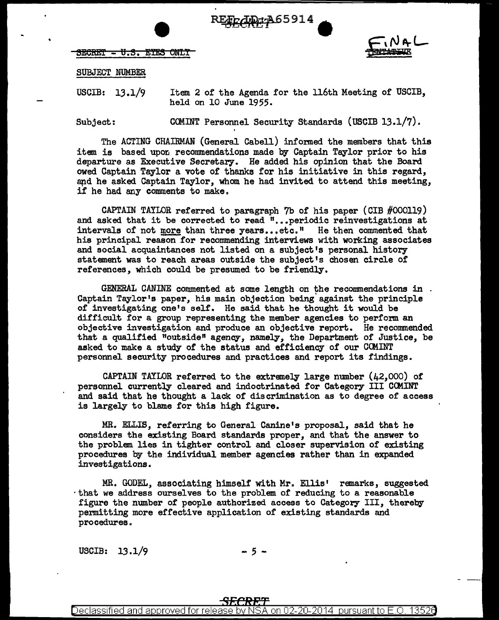



## SUBJECT NUMBER

 $SERC$ R $T = U.S.$  EYES ONLY

USCIB: 13.1/9 Item 2 of the Agenda for the 116th Meeting of USCIB, held on 10 June 1955.

Subject: COMINT Personnel Security Standards (USCIB 13.1/7).

The ACTING CHAIRMAN (General Cabell) informed the members that this item is based upon recommendations made by Captain Taylor prior to his departure as Executive Secretary. He added his opinion that the Board owed Captain Taylor a vote of thanks for his initiative in this regard, apd he asked Captain Taylor, whom he had invited to attend this meeting, if he had any comments to make.

CAPTAIN TAYLOR referred to paragraph  $7b$  of his paper (CIB  $#000119$ ) and asked that it be corrected to read "... periodic reinvestigations at intervals of not more than three years...etc." He then commented that his principal reason for recommending interviews with working associates and social acquaintances not listed on a subject's personal history statement was to reach areas outside the subject's chosen circle of references, which could be presumed to be friendly.

GENERAL CANINE commented at some length on the recommendations in Captain Taylor's paper, his main objection being' against the principle of investigating one's self. He said that he thought it would be difficult for a group representing the member agencies to perform an objective investigation and produce an objective report. He recommended that a qualified "outside" agency, namely, the Department of Justice, be asked to make a study of the status and efficiency of our COMINT personnel security procedures and practices and report its findings.

CAPTAIN TAYLOR referred to the extremely large number (42,000) of personnel currently cleared and indoctrinated for Category III CCMINT and said that he thought a lack of discrimination as to degree of access is largely to blame for this high figure.

MR. ELLIS, referring to General Canine 1s proposal, said that he considers the existing Board standards proper, and that the answer to the problem lies in tighter control and closer supervision of existing procedures by the individual member agencies rather than in expanded investigations.

MR. GODEL, associating himself with Mr. Ellis' remarks, suggested ·that we address ourselves to the problem of reducing to a reasonable figure the number of people authorized. access to Category III, thereby permitting more effective application of existing standards and procedures.

USCIB:  $13.1/9$  - 5 -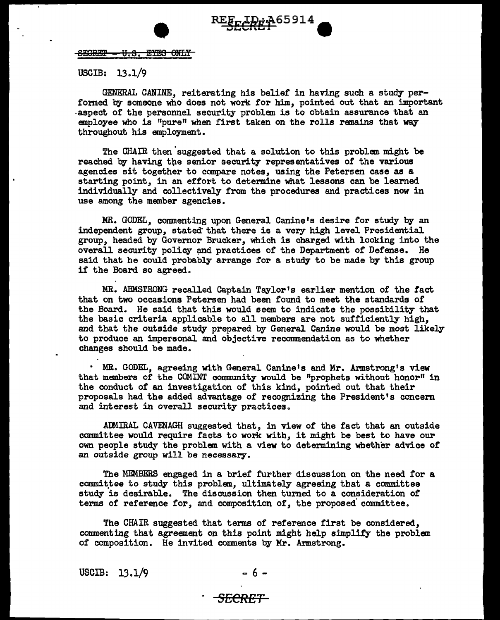

<del>SEGRET - U.S. EYES ONLY</del>

USCIB: 13.1/9

GENERAL CANINE, reiterating his belief in having such a study performed by someone who does not work for him, pointed out that an important -aspect of the personnel security problem is to obtain assurance that an employee who is "pure" when first taken on the rolls remains that way throughout his employment.

The CHAIR then 'suggested that a solution to this problem might be reached by having the senior security representatives of the various agencies sit together to compare notes, using the Petersen case as a starting point, in an effort to determine what lessons can be learned individually and collectively from the procedures and practices now in use among the member agencies.

MR. GODEL, commenting upon General Canine's desire for study by an independent group, stated that there is a very high level Presidential group, headed by Governor Brucker, which is charged with looking into the overall security policy and practices of the Department of Defense. He said that he could probably arrange for a study to be made by this group if the Board so agreed.

MR. ARMSTRONG recalled Captain Taylor's earlier mention of the fact that on two occasions Petersen had been found to meet the standards of the Board. He said that this would seem to indicate the possibility that the basic criteria applicable to all members are not sufficiently high, and that the outside study prepared by General Canine would be most likely to produce an impersonal and objective recommendation as to whether changes should be made.

• MR. GODEL, agreeing with General Canine's and Mr. Armstrong's view that members of the COMINT community would be "prophets without honor" in the conduct of an investigation of this kind, pointed out that their proposals had the added advantage of recognizing the President's concern and interest in overall security practices.

ADMIRAL CAVENAGH suggested that, in view of the fact that an outside committee would require facts to work with, it might be best to have our own people study the problem with a view to determining whether advice of an outside group will be necessary.

The MEMBERS engaged in a brief further discussion on the need for a committee to study this problem, ultimately agreeing that a committee study is desirable. The discussion then turned to a consideration of terms of reference for, and composition of, the proposed committee.

The CHAIR suggested that terms of reference first be considered, commenting that agreement on this point might help simplify the problem of composition. He invited comments by Mr. Armstrong.

USCIB:  $13.1/9$ 

$$
-6-
$$

## *SECRET*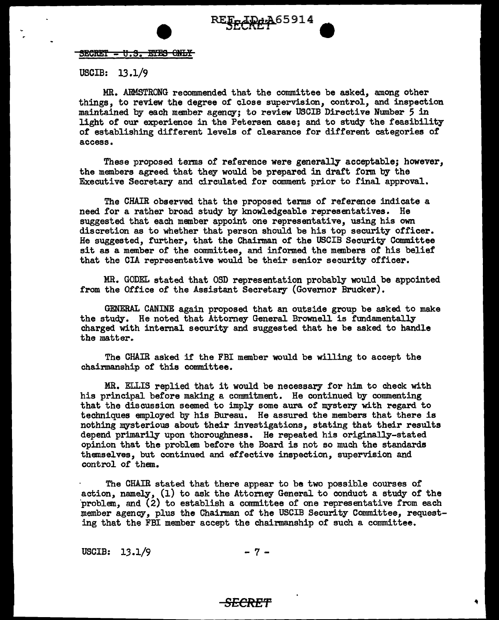

 ${}^{5}$ ECRET -  ${}^{1}$ . S. EYES ONLY

USCIB: 13 .1/9

MR. ARMSTRONG recommended that the committee be asked, among other things, to review the degree of close supervision, control, and inspection maintained by each member agency; to review USCIB Directive Number 5 in light of our experience in the Petersen case; and to study the feasibility of establishing different levels of clearance for different categories of access.

These proposed terms of reference were generally acceptable; however, the members agreed that they would be prepared in draft form by the Executive Secretary and circulated for comment prior to final approval.

The CHAIR observed that the proposed terms of reference indicate a need for a rather broad study by knowledgeable representatives. He suggested that each member appoint one representative, using his own discretion as to whether that person should be his top security officer. He suggested, further, that the Chairman of the USCIB Security Committee sit as a member of the committee, and informed the members of his belief that the CIA representative would be their senior security officer.

MR. GODEL stated that OSD representation probably would be appointed from the Office of the Assistant Secretary (Governor Brucker).

GENERAL CANINE again proposed that an outside group be asked to make the study. He noted that Attorney General Brownell is fundamentally charged with internal security and suggested that he be asked to handle the matter.

The CHAIR asked if the FBI member would be willing to accept the chairmanship of this committee.

MR. ELLIS replied that it would be necessary for him to check with his principal before making a commitment. He continued by commenting that the discussion seemed to imply some aura of mystery with regard to techniques employed by his Bureau. He assured the members that there is nothing mysterious about their investigations, stating that their results depend primarily upon thoroughness. He repeated his originally-stated opinion that the problem before the Board is not so much the standards themselves, but continued and effective inspection, supervision and control of them.

The CHAIR stated that there appear to be two possible courses of action, namely, (1) to ask the Attomey General to conduct a study of the 'problem, and (2) to establish a committee of one representative from each member agency, plus the Chairman of the USCIB Security Committee, requesting that the FBI member accept the chairmanship of such a committee.

USCIB:  $13.1/9$  - 7 -

## *SECRET*